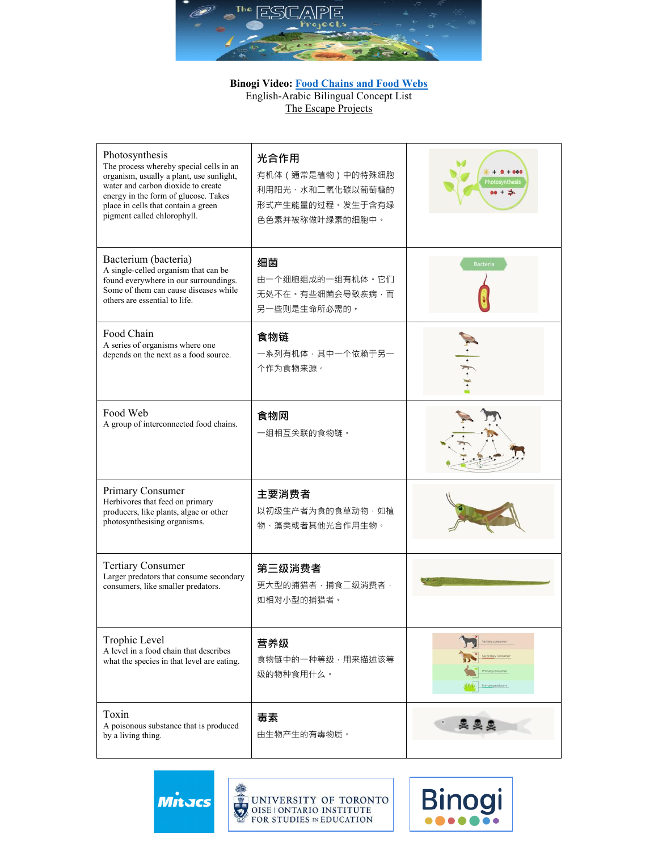

## **Binogi Video: Food Chains and Food Webs** English-Arabic Bilingual Concept List The Escape Projects

| Photosynthesis<br>The process whereby special cells in an<br>organism, usually a plant, use sunlight,<br>water and carbon dioxide to create<br>energy in the form of glucose. Takes<br>place in cells that contain a green<br>pigment called chlorophyll. | 光合作用<br>有机体 (通常是植物)中的特殊细胞<br>利用阳光、水和二氧化碳以葡萄糖的<br>形式产生能量的过程·发生于含有绿<br>色色素并被称做叶绿素的细胞中。 | <b>otosynthesi</b><br>$80 + 3$ |
|-----------------------------------------------------------------------------------------------------------------------------------------------------------------------------------------------------------------------------------------------------------|--------------------------------------------------------------------------------------|--------------------------------|
| Bacterium (bacteria)<br>A single-celled organism that can be<br>found everywhere in our surroundings.<br>Some of them can cause diseases while<br>others are essential to life.                                                                           | 细菌<br>由一个细胞组成的一组有机体。它们<br>无处不在。有些细菌会导致疾病,而<br>另一些则是生命所必需的。                           | <b>Bacteria</b>                |
| Food Chain<br>A series of organisms where one<br>depends on the next as a food source.                                                                                                                                                                    | 食物链<br>一系列有机体,其中一个依赖于另一<br>个作为食物来源。                                                  |                                |
| Food Web<br>A group of interconnected food chains.                                                                                                                                                                                                        | 食物网<br>一组相互关联的食物链。                                                                   |                                |
| Primary Consumer<br>Herbivores that feed on primary<br>producers, like plants, algae or other<br>photosynthesising organisms.                                                                                                                             | 主要消费者<br>以初级生产者为食的食草动物·如植<br>物、藻类或者其他光合作用生物。                                         |                                |
| <b>Tertiary Consumer</b><br>Larger predators that consume secondary<br>consumers, like smaller predators.                                                                                                                                                 | 第三级消费者<br>更大型的捕猎者·捕食二级消费者·<br>如相对小型的捕猎者。                                             |                                |
| Trophic Level<br>A level in a food chain that describes<br>what the species in that level are eating.                                                                                                                                                     | 营养级<br>食物链中的一种等级,用来描述该等<br>级的物种食用什么。                                                 | ary consum<br>rimary producers |
| Toxin<br>A poisonous substance that is produced<br>by a living thing.                                                                                                                                                                                     | 毒素<br>由生物产生的有毒物质。                                                                    | 奥奥奥                            |